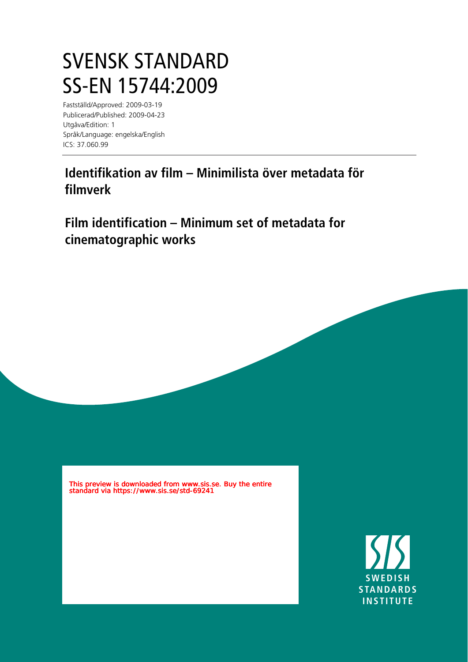## SVENSK STANDARD SS-EN 15744:2009

Fastställd/Approved: 2009-03-19 Publicerad/Published: 2009-04-23 Utgåva/Edition: 1 Språk/Language: engelska/English ICS: 37.060.99

### **Identifikation av film – Minimilista ver metadata fr filmverk**

**Film identification – Minimum set of metadata for cinematographic works**

This preview is downloaded from www.sis.se. Buy the entire standard via https://www.sis.se/std-69241

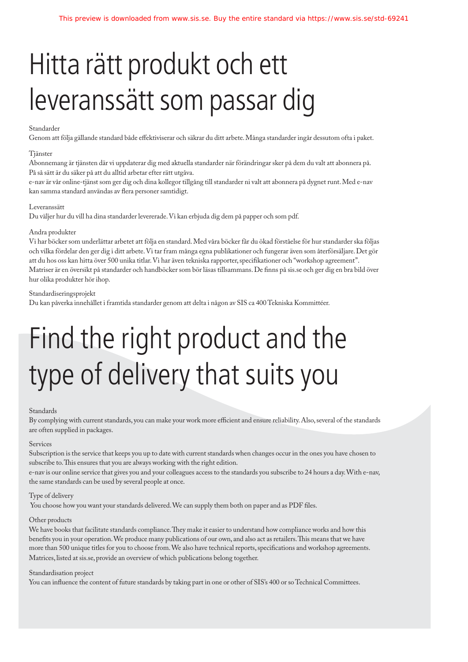## Hitta rätt produkt och ett leveranssätt som passar dig

#### Standarder

Genom att följa gällande standard både effektiviserar och säkrar du ditt arbete. Många standarder ingår dessutom ofta i paket.

#### Tjänster

Abonnemang är tjänsten där vi uppdaterar dig med aktuella standarder när förändringar sker på dem du valt att abonnera på. På så sätt är du säker på att du alltid arbetar efter rätt utgåva.

e-nav är vår online-tjänst som ger dig och dina kollegor tillgång till standarder ni valt att abonnera på dygnet runt. Med e-nav kan samma standard användas av flera personer samtidigt.

#### Leveranssätt

Du väljer hur du vill ha dina standarder levererade. Vi kan erbjuda dig dem på papper och som pdf.

#### Andra produkter

Vi har böcker som underlättar arbetet att följa en standard. Med våra böcker får du ökad förståelse för hur standarder ska följas och vilka fördelar den ger dig i ditt arbete. Vi tar fram många egna publikationer och fungerar även som återförsäljare. Det gör att du hos oss kan hitta över 500 unika titlar. Vi har även tekniska rapporter, specifikationer och "workshop agreement". Matriser är en översikt på standarder och handböcker som bör läsas tillsammans. De finns på sis.se och ger dig en bra bild över hur olika produkter hör ihop.

#### Standardiseringsprojekt

Du kan påverka innehållet i framtida standarder genom att delta i någon av SIS ca 400 Tekniska Kommittéer.

# Find the right product and the type of delivery that suits you

#### Standards

By complying with current standards, you can make your work more efficient and ensure reliability. Also, several of the standards are often supplied in packages.

#### Services

Subscription is the service that keeps you up to date with current standards when changes occur in the ones you have chosen to subscribe to. This ensures that you are always working with the right edition.

e-nav is our online service that gives you and your colleagues access to the standards you subscribe to 24 hours a day. With e-nav, the same standards can be used by several people at once.

#### Type of delivery

You choose how you want your standards delivered. We can supply them both on paper and as PDF files.

#### Other products

We have books that facilitate standards compliance. They make it easier to understand how compliance works and how this benefits you in your operation. We produce many publications of our own, and also act as retailers. This means that we have more than 500 unique titles for you to choose from. We also have technical reports, specifications and workshop agreements. Matrices, listed at sis.se, provide an overview of which publications belong together.

#### Standardisation project

You can influence the content of future standards by taking part in one or other of SIS's 400 or so Technical Committees.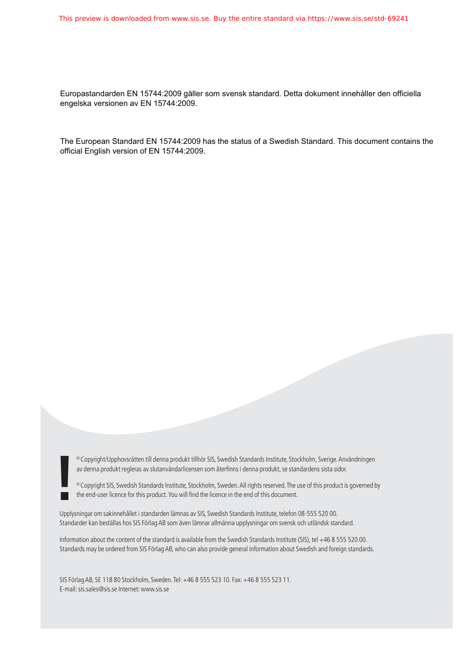Europastandarden EN 15744:2009 gäller som svensk standard. Detta dokument innehåller den officiella engelska versionen av EN 15744:2009.

The European Standard EN 15744:2009 has the status of a Swedish Standard. This document contains the official English version of EN 15744:2009.

 $^\circ$ Copyright/Upphovsrätten till denna produkt tillhör SIS, Swedish Standards Institute, Stockholm, Sverige. Användningen av denna produkt regleras av slutanvändarlicensen som återfinns i denna produkt, se standardens sista sidor.

Copyright/Upphovsrätten till denna produkt tillhör SIS, Swedish Standards Institute, Stockholm, Sverige. Användningen<br>av denna produkt regleras av slutanvändarlicensen som återfinns i denna produkt, se standardens sista si

Upplysningar om sakinnehållet i standarden lämnas av SIS, Swedish Standards Institute, telefon 08-555 520 00. Standarder kan beställas hos SIS Förlag AB som även lämnar allmänna upplysningar om svensk och utländsk standard.

Information about the content of the standard is available from the Swedish Standards Institute (SIS), tel +46 8 555 520 00. Standards may be ordered from SIS Förlag AB, who can also provide general information about Swedish and foreign standards.

SIS Förlag AB, SE 118 80 Stockholm, Sweden. Tel: +46 8 555 523 10. Fax: +46 8 555 523 11. E-mail: sis.sales@sis.se Internet: www.sis.se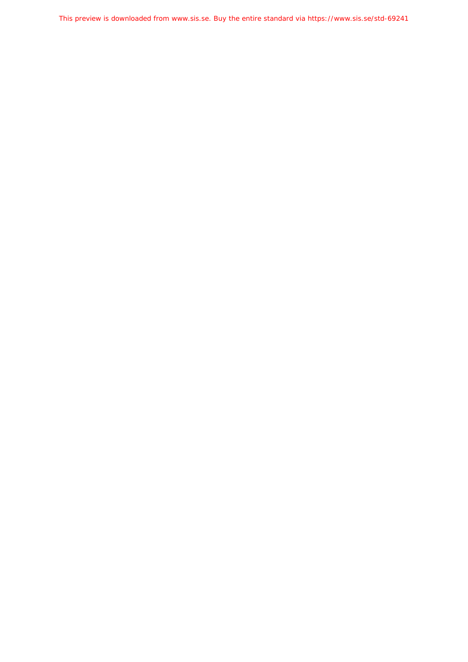This preview is downloaded from www.sis.se. Buy the entire standard via https://www.sis.se/std-69241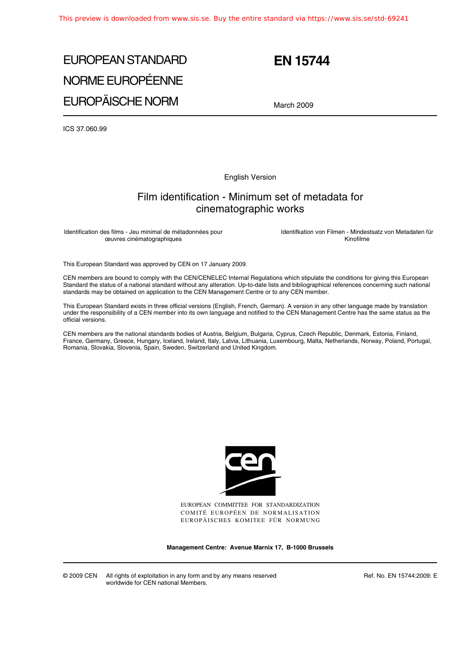## EUROPEAN STANDARD NORME EUROPÉENNE EUROPÄISCHE NORM

**EN 15744 EN 15744**

March 2009

ICS 37.060.99

English Version

#### Film identification - Minimum set of metadata for cinematographic works

Identification des films - Jeu minimal de métadonnées pour ceuvres cinématographiques

Identifkation von Filmen - Mindestsatz von Metadaten für Kinofilme

This European Standard was approved by CEN on 17 January 2009.

CEN members are bound to comply with the CEN/CENELEC Internal Regulations which stipulate the conditions for giving this European Standard the status of a national standard without any alteration. Up-to-date lists and bibliographical references concerning such national standards may be obtained on application to the CEN Management Centre or to any CEN member.

This European Standard exists in three official versions (English, French, German). A version in any other language made by translation under the responsibility of a CEN member into its own language and notified to the CEN Management Centre has the same status as the official versions.

CEN members are the national standards bodies of Austria, Belgium, Bulgaria, Cyprus, Czech Republic, Denmark, Estonia, Finland, France, Germany, Greece, Hungary, Iceland, Ireland, Italy, Latvia, Lithuania, Luxembourg, Malta, Netherlands, Norway, Poland, Portugal, Romania, Slovakia, Slovenia, Spain, Sweden, Switzerland and United Kingdom.



EUROPEAN COMMITTEE FOR STANDARDIZATION COMITÉ EUROPÉEN DE NORMALISATION EUROPÄISCHES KOMITEE FÜR NORMUNG

**Management Centre: Avenue Marnix 17, B-1000 Brussels**

 2009 CEN All rights of exploitation in any form and by any means reserved worldwide for CEN national Members.

Ref. No. EN 15744:2009: E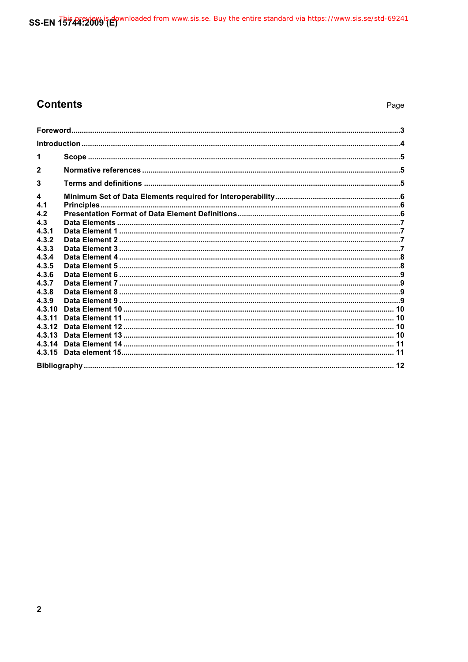SS-EN 15744:2009 (E) World and a from www.sis.se. Buy the entire standard via https://www.sis.se/std-69241

### **Contents**

| 1            |  |  |  |
|--------------|--|--|--|
| $\mathbf{2}$ |  |  |  |
| 3            |  |  |  |
| 4<br>4.1     |  |  |  |
| 4.2          |  |  |  |
| 4.3          |  |  |  |
| 4.3.1        |  |  |  |
| 4.3.2        |  |  |  |
| 4.3.3        |  |  |  |
| 4.3.4        |  |  |  |
| 4.3.5        |  |  |  |
| 4.3.6        |  |  |  |
| 4.3.7        |  |  |  |
| 4.3.8        |  |  |  |
| 4.3.9        |  |  |  |
| 4.3.10       |  |  |  |
| 4.3.11       |  |  |  |
| 4.3.12       |  |  |  |
| 4.3.13       |  |  |  |
| 4.3.14       |  |  |  |
|              |  |  |  |
|              |  |  |  |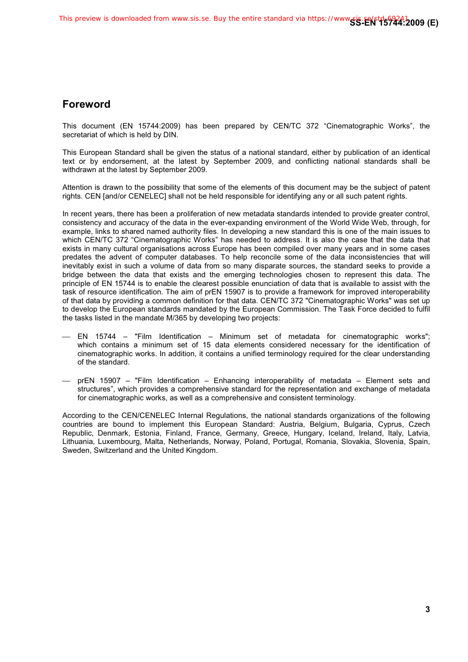**EN 15744:2009 (E)** 

#### **Foreword**

This document (EN 15744:2009) has been prepared by CEN/TC 372 "Cinematographic Works", the secretariat of which is held by DIN.

This European Standard shall be given the status of a national standard, either by publication of an identical text or by endorsement, at the latest by September 2009, and conflicting national standards shall be withdrawn at the latest by September 2009.

Attention is drawn to the possibility that some of the elements of this document may be the subject of patent rights. CEN [and/or CENELEC] shall not be held responsible for identifying any or all such patent rights.

In recent years, there has been a proliferation of new metadata standards intended to provide greater control, consistency and accuracy of the data in the ever-expanding environment of the World Wide Web, through, for example, links to shared named authority files. In developing a new standard this is one of the main issues to which CEN/TC 372 "Cinematographic Works" has needed to address. It is also the case that the data that exists in many cultural organisations across Europe has been compiled over many years and in some cases predates the advent of computer databases. To help reconcile some of the data inconsistencies that will inevitably exist in such a volume of data from so many disparate sources, the standard seeks to provide a bridge between the data that exists and the emerging technologies chosen to represent this data. The principle of EN 15744 is to enable the clearest possible enunciation of data that is available to assist with the task of resource identification. The aim of prEN 15907 is to provide a framework for improved interoperability of that data by providing a common definition for that data. CEN/TC 372 "Cinematographic Works" was set up to develop the European standards mandated by the European Commission. The Task Force decided to fulfil the tasks listed in the mandate M/365 by developing two projects:

- EN 15744 "Film Identification Minimum set of metadata for cinematographic works"; which contains a minimum set of 15 data elements considered necessary for the identification of cinematographic works. In addition, it contains a unified terminology required for the clear understanding of the standard.
- prEN 15907 "Film Identification Enhancing interoperability of metadata Element sets and structures", which provides a comprehensive standard for the representation and exchange of metadata for cinematographic works, as well as a comprehensive and consistent terminology.

According to the CEN/CENELEC Internal Regulations, the national standards organizations of the following countries are bound to implement this European Standard: Austria, Belgium, Bulgaria, Cyprus, Czech Republic, Denmark, Estonia, Finland, France, Germany, Greece, Hungary, Iceland, Ireland, Italy, Latvia, Lithuania, Luxembourg, Malta, Netherlands, Norway, Poland, Portugal, Romania, Slovakia, Slovenia, Spain, Sweden, Switzerland and the United Kingdom.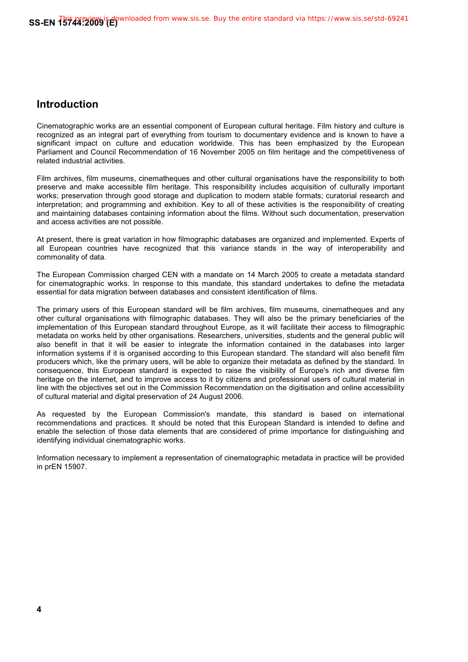#### **Introduction**

**EN 15744:2009 (E)** 

Cinematographic works are an essential component of European cultural heritage. Film history and culture is recognized as an integral part of everything from tourism to documentary evidence and is known to have a significant impact on culture and education worldwide. This has been emphasized by the European Parliament and Council Recommendation of 16 November 2005 on film heritage and the competitiveness of related industrial activities.

Film archives, film museums, cinematheques and other cultural organisations have the responsibility to both preserve and make accessible film heritage. This responsibility includes acquisition of culturally important works; preservation through good storage and duplication to modern stable formats; curatorial research and interpretation; and programming and exhibition. Key to all of these activities is the responsibility of creating and maintaining databases containing information about the films. Without such documentation, preservation and access activities are not possible.

At present, there is great variation in how filmographic databases are organized and implemented. Experts of all European countries have recognized that this variance stands in the way of interoperability and commonality of data.

The European Commission charged CEN with a mandate on 14 March 2005 to create a metadata standard for cinematographic works. In response to this mandate, this standard undertakes to define the metadata essential for data migration between databases and consistent identification of films.

The primary users of this European standard will be film archives, film museums, cinematheques and any other cultural organisations with filmographic databases. They will also be the primary beneficiaries of the implementation of this European standard throughout Europe, as it will facilitate their access to filmographic metadata on works held by other organisations. Researchers, universities, students and the general public will also benefit in that it will be easier to integrate the information contained in the databases into larger information systems if it is organised according to this European standard. The standard will also benefit film producers which, like the primary users, will be able to organize their metadata as defined by the standard. In consequence, this European standard is expected to raise the visibility of Europe's rich and diverse film heritage on the internet, and to improve access to it by citizens and professional users of cultural material in line with the objectives set out in the Commission Recommendation on the digitisation and online accessibility of cultural material and digital preservation of 24 August 2006.

As requested by the European Commission's mandate, this standard is based on international recommendations and practices. It should be noted that this European Standard is intended to define and enable the selection of those data elements that are considered of prime importance for distinguishing and identifying individual cinematographic works.

Information necessary to implement a representation of cinematographic metadata in practice will be provided in prEN 15907.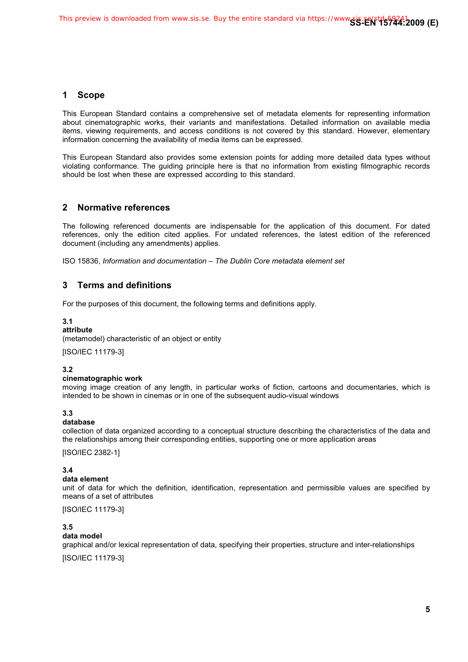**EN 15744:2009 (E)** 

#### **1 Scope**

This European Standard contains a comprehensive set of metadata elements for representing information about cinematographic works, their variants and manifestations. Detailed information on available media items, viewing requirements, and access conditions is not covered by this standard. However, elementary information concerning the availability of media items can be expressed.

This European Standard also provides some extension points for adding more detailed data types without violating conformance. The guiding principle here is that no information from existing filmographic records should be lost when these are expressed according to this standard.

#### **2 Normative references**

The following referenced documents are indispensable for the application of this document. For dated references, only the edition cited applies. For undated references, the latest edition of the referenced document (including any amendments) applies.

ISO 15836, *Information and documentation – The Dublin Core metadata element set* 

#### **3 Terms and definitions**

For the purposes of this document, the following terms and definitions apply.

#### **3.1**

**attribute** 

(metamodel) characteristic of an object or entity

[ISO/IEC 11179-3]

**3.2** 

#### **cinematographic work**

moving image creation of any length, in particular works of fiction, cartoons and documentaries, which is intended to be shown in cinemas or in one of the subsequent audio-visual windows

#### **3.3**

#### **database**

collection of data organized according to a conceptual structure describing the characteristics of the data and the relationships among their corresponding entities, supporting one or more application areas

[ISO/IEC 2382-1]

#### **3.4**

#### **data element**

unit of data for which the definition, identification, representation and permissible values are specified by means of a set of attributes

[ISO/IEC 11179-3]

#### **3.5**

#### **data model**

graphical and/or lexical representation of data, specifying their properties, structure and inter-relationships [ISO/IEC 11179-3]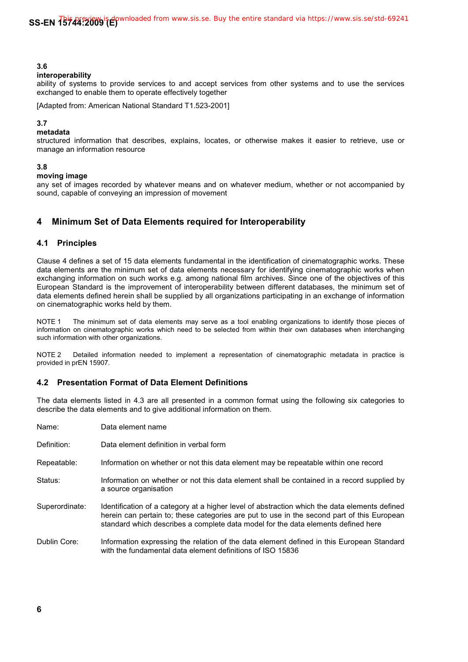#### **3.6**

#### **interoperability**

**EN 15744:2009 (E)** 

ability of systems to provide services to and accept services from other systems and to use the services exchanged to enable them to operate effectively together

[Adapted from: American National Standard T1.523-2001]

#### **3.7**

#### **metadata**

structured information that describes, explains, locates, or otherwise makes it easier to retrieve, use or manage an information resource

#### **3.8**

#### **moving image**

any set of images recorded by whatever means and on whatever medium, whether or not accompanied by sound, capable of conveying an impression of movement

#### **4 Minimum Set of Data Elements required for Interoperability**

#### **4.1 Principles**

Clause 4 defines a set of 15 data elements fundamental in the identification of cinematographic works. These data elements are the minimum set of data elements necessary for identifying cinematographic works when exchanging information on such works e.g. among national film archives. Since one of the objectives of this European Standard is the improvement of interoperability between different databases, the minimum set of data elements defined herein shall be supplied by all organizations participating in an exchange of information on cinematographic works held by them.

NOTE 1 The minimum set of data elements may serve as a tool enabling organizations to identify those pieces of information on cinematographic works which need to be selected from within their own databases when interchanging such information with other organizations.

NOTE 2 Detailed information needed to implement a representation of cinematographic metadata in practice is provided in prEN 15907.

#### **4.2 Presentation Format of Data Element Definitions**

The data elements listed in 4.3 are all presented in a common format using the following six categories to describe the data elements and to give additional information on them.

| Name:          | Data element name                                                                                                                                                                                                                                                                |
|----------------|----------------------------------------------------------------------------------------------------------------------------------------------------------------------------------------------------------------------------------------------------------------------------------|
| Definition:    | Data element definition in verbal form                                                                                                                                                                                                                                           |
| Repeatable:    | Information on whether or not this data element may be repeatable within one record                                                                                                                                                                                              |
| Status:        | Information on whether or not this data element shall be contained in a record supplied by<br>a source organisation                                                                                                                                                              |
| Superordinate: | Identification of a category at a higher level of abstraction which the data elements defined<br>herein can pertain to; these categories are put to use in the second part of this European<br>standard which describes a complete data model for the data elements defined here |
| Dublin Core:   | Information expressing the relation of the data element defined in this European Standard<br>with the fundamental data element definitions of ISO 15836                                                                                                                          |